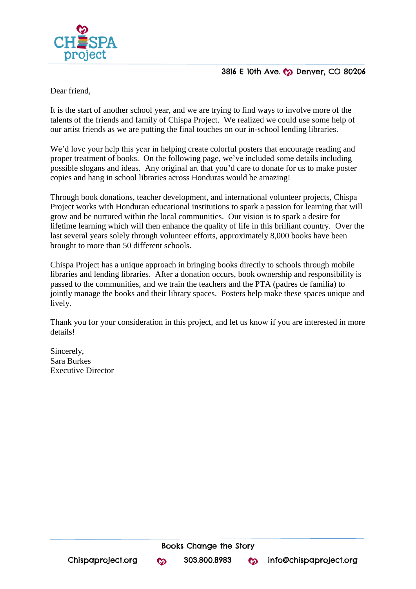

## 3816 E 10th Ave. C Denver, CO 80206

Dear friend,

It is the start of another school year, and we are trying to find ways to involve more of the talents of the friends and family of Chispa Project. We realized we could use some help of our artist friends as we are putting the final touches on our in-school lending libraries.

We'd love your help this year in helping create colorful posters that encourage reading and proper treatment of books. On the following page, we've included some details including possible slogans and ideas. Any original art that you'd care to donate for us to make poster copies and hang in school libraries across Honduras would be amazing!

Through [book donations,](http://www.chispaproject.org/book-donations1.html) [teacher development,](http://www.chispaproject.org/teacher-development.html) and [international volunteer projects,](http://www.chispaproject.org/come-volunteer.html) Chispa Project works with Honduran educational institutions to spark a passion for learning that will grow and be nurtured within the local communities. Our vision is to spark a desire for lifetime learning which will then enhance the quality of life in this brilliant country. Over the last several years solely through volunteer efforts, approximately 8,000 books have been brought to more than 50 different schools.

Chispa Project has a unique approach in bringing books directly to schools through mobile libraries and lending libraries. After a donation occurs, book ownership and responsibility is passed to the communities, and we train the teachers and the PTA (padres de familia) to jointly manage the books and their library spaces. Posters help make these spaces unique and lively.

Thank you for your consideration in this project, and let us know if you are interested in more details!

Sincerely, Sara Burkes Executive Director